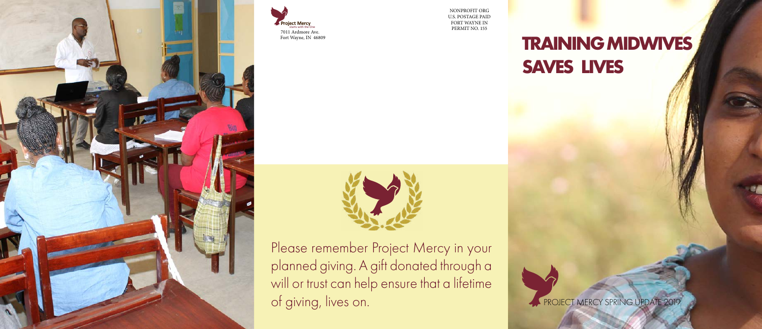### **TRAINING MIDWIVES SAVES LIVES**

PROJECT MERCY SPRING UPDATE 2019

NONPROFIT ORG U.S. POSTAGE PAID FORT WAYNE IN







Please remember Project Mercy in your planned giving. A gift donated through a will or trust can help ensure that a lifetime of giving, lives on.